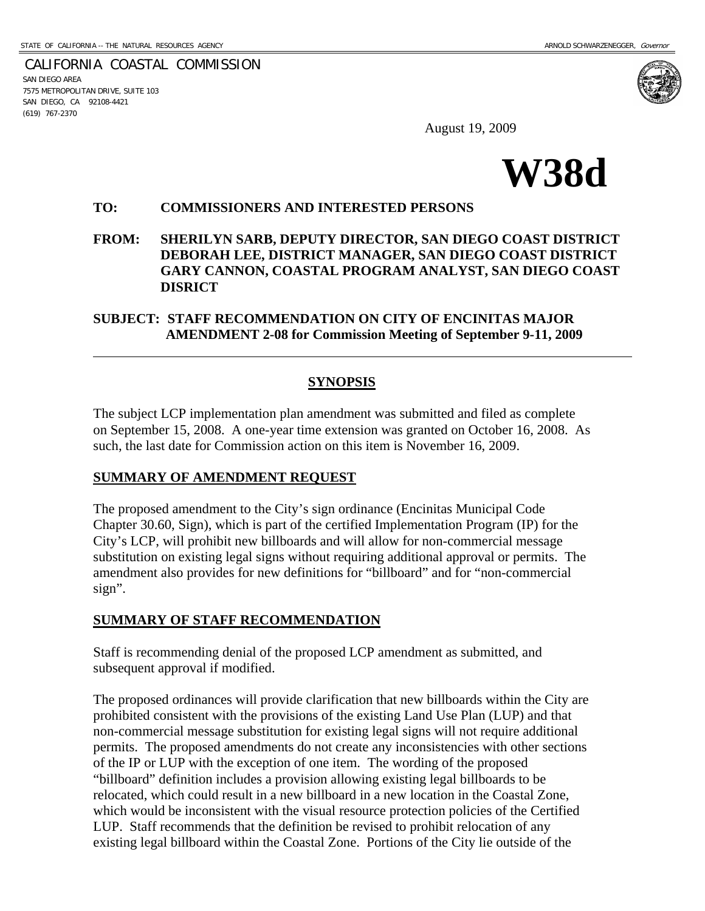CALIFORNIA COASTAL COMMISSION SAN DIEGO AREA 7575 METROPOLITAN DRIVE, SUITE 103 SAN DIEGO, CA 92108-4421 (619) 767-2370

 $\overline{a}$ 

August 19, 2009



### **TO: COMMISSIONERS AND INTERESTED PERSONS**

**FROM: SHERILYN SARB, DEPUTY DIRECTOR, SAN DIEGO COAST DISTRICT DEBORAH LEE, DISTRICT MANAGER, SAN DIEGO COAST DISTRICT GARY CANNON, COASTAL PROGRAM ANALYST, SAN DIEGO COAST DISRICT** 

# **SUBJECT: STAFF RECOMMENDATION ON CITY OF ENCINITAS MAJOR AMENDMENT 2-08 for Commission Meeting of September 9-11, 2009**

# **SYNOPSIS**

The subject LCP implementation plan amendment was submitted and filed as complete on September 15, 2008. A one-year time extension was granted on October 16, 2008. As such, the last date for Commission action on this item is November 16, 2009.

## **SUMMARY OF AMENDMENT REQUEST**

The proposed amendment to the City's sign ordinance (Encinitas Municipal Code Chapter 30.60, Sign), which is part of the certified Implementation Program (IP) for the City's LCP, will prohibit new billboards and will allow for non-commercial message substitution on existing legal signs without requiring additional approval or permits. The amendment also provides for new definitions for "billboard" and for "non-commercial sign".

# **SUMMARY OF STAFF RECOMMENDATION**

Staff is recommending denial of the proposed LCP amendment as submitted, and subsequent approval if modified.

The proposed ordinances will provide clarification that new billboards within the City are prohibited consistent with the provisions of the existing Land Use Plan (LUP) and that non-commercial message substitution for existing legal signs will not require additional permits. The proposed amendments do not create any inconsistencies with other sections of the IP or LUP with the exception of one item. The wording of the proposed "billboard" definition includes a provision allowing existing legal billboards to be relocated, which could result in a new billboard in a new location in the Coastal Zone, which would be inconsistent with the visual resource protection policies of the Certified LUP. Staff recommends that the definition be revised to prohibit relocation of any existing legal billboard within the Coastal Zone. Portions of the City lie outside of the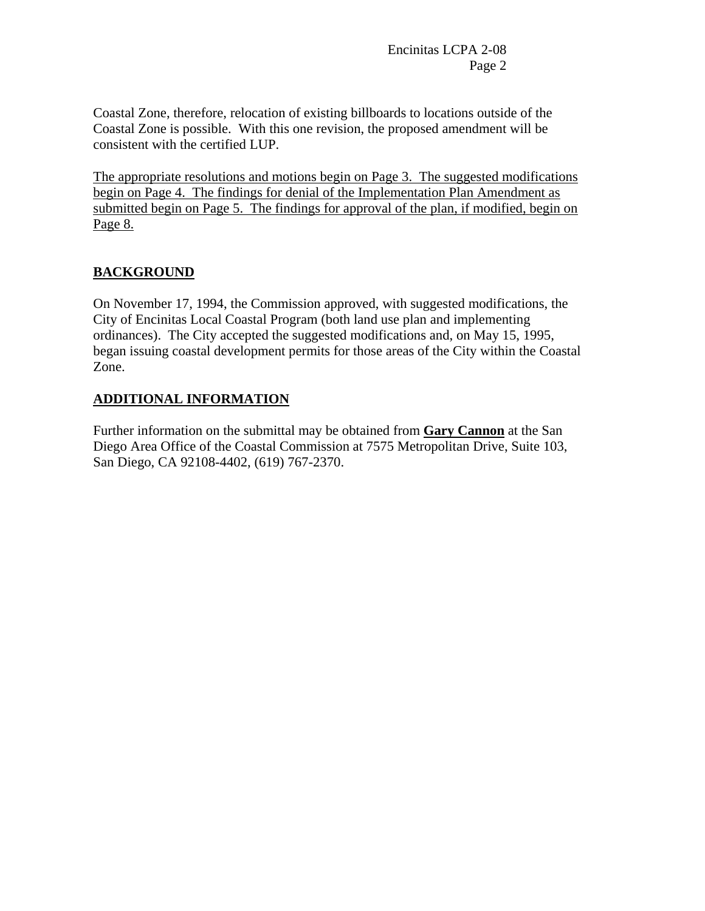Coastal Zone, therefore, relocation of existing billboards to locations outside of the Coastal Zone is possible. With this one revision, the proposed amendment will be consistent with the certified LUP.

The appropriate resolutions and motions begin on Page 3. The suggested modifications begin on Page 4. The findings for denial of the Implementation Plan Amendment as submitted begin on Page 5. The findings for approval of the plan, if modified, begin on Page 8.

# **BACKGROUND**

On November 17, 1994, the Commission approved, with suggested modifications, the City of Encinitas Local Coastal Program (both land use plan and implementing ordinances). The City accepted the suggested modifications and, on May 15, 1995, began issuing coastal development permits for those areas of the City within the Coastal Zone.

# **ADDITIONAL INFORMATION**

Further information on the submittal may be obtained from **Gary Cannon** at the San Diego Area Office of the Coastal Commission at 7575 Metropolitan Drive, Suite 103, San Diego, CA 92108-4402, (619) 767-2370.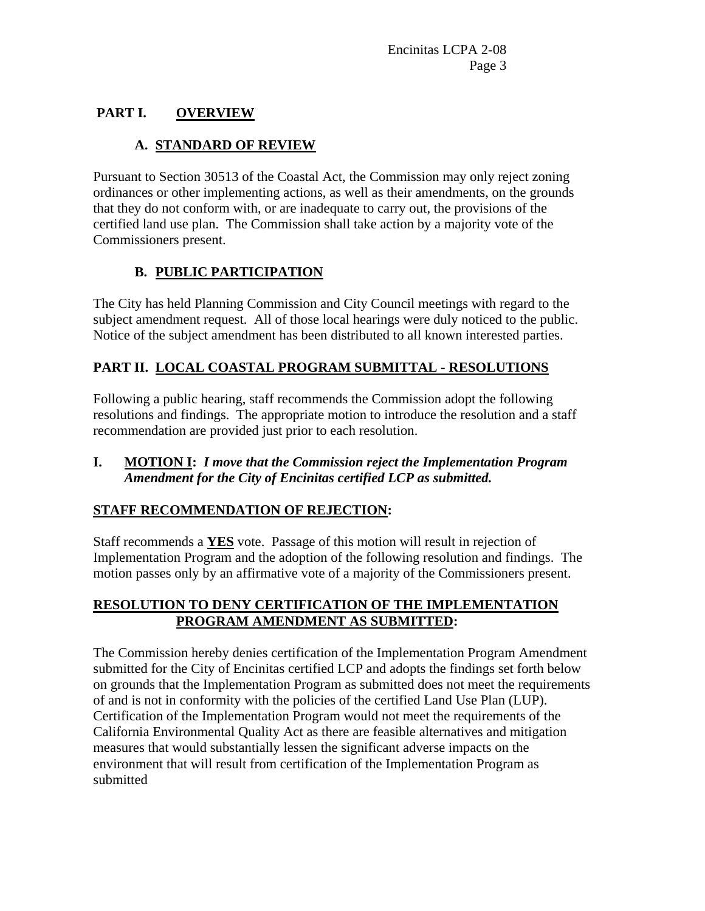# **PART I. OVERVIEW**

# **A. STANDARD OF REVIEW**

Pursuant to Section 30513 of the Coastal Act, the Commission may only reject zoning ordinances or other implementing actions, as well as their amendments, on the grounds that they do not conform with, or are inadequate to carry out, the provisions of the certified land use plan. The Commission shall take action by a majority vote of the Commissioners present.

# **B. PUBLIC PARTICIPATION**

The City has held Planning Commission and City Council meetings with regard to the subject amendment request. All of those local hearings were duly noticed to the public. Notice of the subject amendment has been distributed to all known interested parties.

# **PART II. LOCAL COASTAL PROGRAM SUBMITTAL - RESOLUTIONS**

Following a public hearing, staff recommends the Commission adopt the following resolutions and findings. The appropriate motion to introduce the resolution and a staff recommendation are provided just prior to each resolution.

# **I. MOTION I:** *I move that the Commission reject the Implementation Program Amendment for the City of Encinitas certified LCP as submitted.*

# **STAFF RECOMMENDATION OF REJECTION:**

Staff recommends a **YES** vote. Passage of this motion will result in rejection of Implementation Program and the adoption of the following resolution and findings. The motion passes only by an affirmative vote of a majority of the Commissioners present.

# **RESOLUTION TO DENY CERTIFICATION OF THE IMPLEMENTATION PROGRAM AMENDMENT AS SUBMITTED:**

The Commission hereby denies certification of the Implementation Program Amendment submitted for the City of Encinitas certified LCP and adopts the findings set forth below on grounds that the Implementation Program as submitted does not meet the requirements of and is not in conformity with the policies of the certified Land Use Plan (LUP). Certification of the Implementation Program would not meet the requirements of the California Environmental Quality Act as there are feasible alternatives and mitigation measures that would substantially lessen the significant adverse impacts on the environment that will result from certification of the Implementation Program as submitted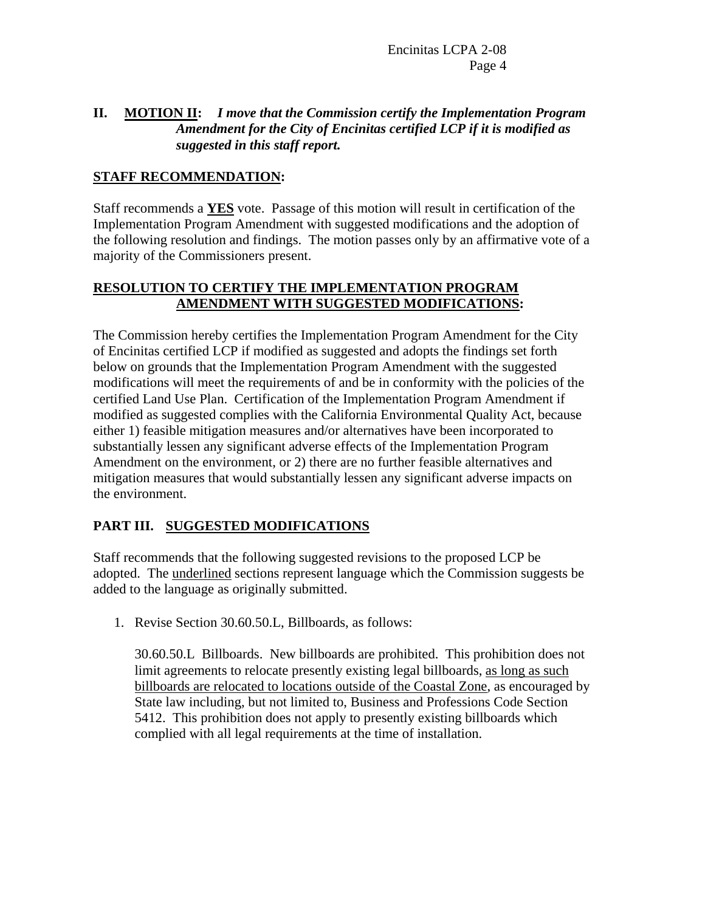# **II. MOTION II:** *I move that the Commission certify the Implementation Program Amendment for the City of Encinitas certified LCP if it is modified as suggested in this staff report.*

# **STAFF RECOMMENDATION:**

Staff recommends a **YES** vote. Passage of this motion will result in certification of the Implementation Program Amendment with suggested modifications and the adoption of the following resolution and findings. The motion passes only by an affirmative vote of a majority of the Commissioners present.

# **RESOLUTION TO CERTIFY THE IMPLEMENTATION PROGRAM AMENDMENT WITH SUGGESTED MODIFICATIONS:**

The Commission hereby certifies the Implementation Program Amendment for the City of Encinitas certified LCP if modified as suggested and adopts the findings set forth below on grounds that the Implementation Program Amendment with the suggested modifications will meet the requirements of and be in conformity with the policies of the certified Land Use Plan. Certification of the Implementation Program Amendment if modified as suggested complies with the California Environmental Quality Act, because either 1) feasible mitigation measures and/or alternatives have been incorporated to substantially lessen any significant adverse effects of the Implementation Program Amendment on the environment, or 2) there are no further feasible alternatives and mitigation measures that would substantially lessen any significant adverse impacts on the environment.

# **PART III. SUGGESTED MODIFICATIONS**

Staff recommends that the following suggested revisions to the proposed LCP be adopted. The underlined sections represent language which the Commission suggests be added to the language as originally submitted.

1. Revise Section 30.60.50.L, Billboards, as follows:

30.60.50.L Billboards. New billboards are prohibited. This prohibition does not limit agreements to relocate presently existing legal billboards, as long as such billboards are relocated to locations outside of the Coastal Zone, as encouraged by State law including, but not limited to, Business and Professions Code Section 5412. This prohibition does not apply to presently existing billboards which complied with all legal requirements at the time of installation.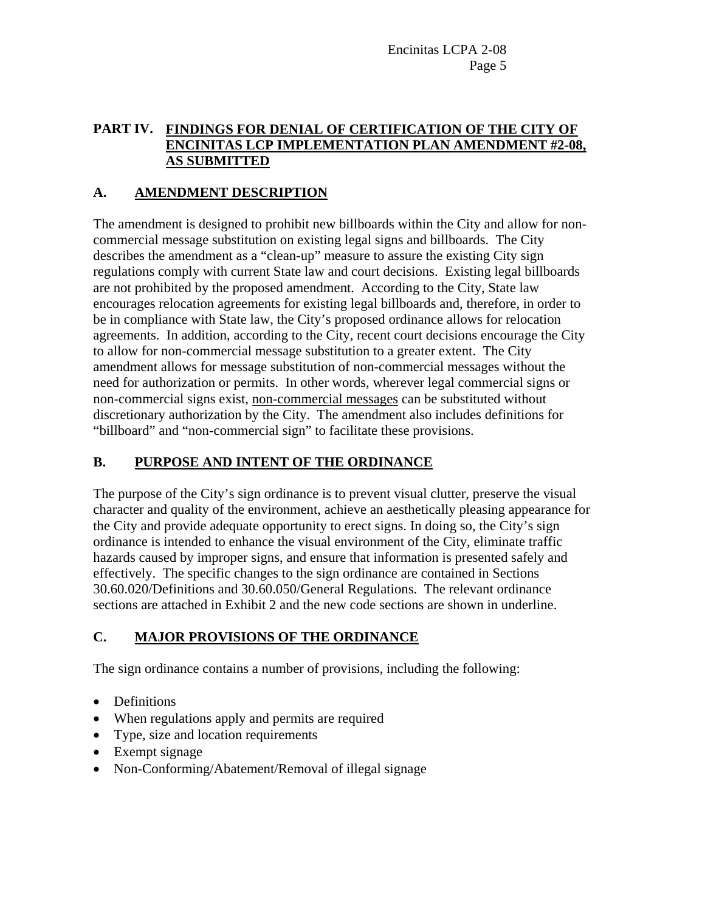# **PART IV. FINDINGS FOR DENIAL OF CERTIFICATION OF THE CITY OF ENCINITAS LCP IMPLEMENTATION PLAN AMENDMENT #2-08, AS SUBMITTED**

# **A. AMENDMENT DESCRIPTION**

The amendment is designed to prohibit new billboards within the City and allow for noncommercial message substitution on existing legal signs and billboards. The City describes the amendment as a "clean-up" measure to assure the existing City sign regulations comply with current State law and court decisions. Existing legal billboards are not prohibited by the proposed amendment. According to the City, State law encourages relocation agreements for existing legal billboards and, therefore, in order to be in compliance with State law, the City's proposed ordinance allows for relocation agreements. In addition, according to the City, recent court decisions encourage the City to allow for non-commercial message substitution to a greater extent. The City amendment allows for message substitution of non-commercial messages without the need for authorization or permits. In other words, wherever legal commercial signs or non-commercial signs exist, non-commercial messages can be substituted without discretionary authorization by the City. The amendment also includes definitions for "billboard" and "non-commercial sign" to facilitate these provisions.

# **B. PURPOSE AND INTENT OF THE ORDINANCE**

The purpose of the City's sign ordinance is to prevent visual clutter, preserve the visual character and quality of the environment, achieve an aesthetically pleasing appearance for the City and provide adequate opportunity to erect signs. In doing so, the City's sign ordinance is intended to enhance the visual environment of the City, eliminate traffic hazards caused by improper signs, and ensure that information is presented safely and effectively. The specific changes to the sign ordinance are contained in Sections 30.60.020/Definitions and 30.60.050/General Regulations. The relevant ordinance sections are attached in Exhibit 2 and the new code sections are shown in underline.

# **C. MAJOR PROVISIONS OF THE ORDINANCE**

The sign ordinance contains a number of provisions, including the following:

- Definitions
- When regulations apply and permits are required
- Type, size and location requirements
- Exempt signage
- Non-Conforming/Abatement/Removal of illegal signage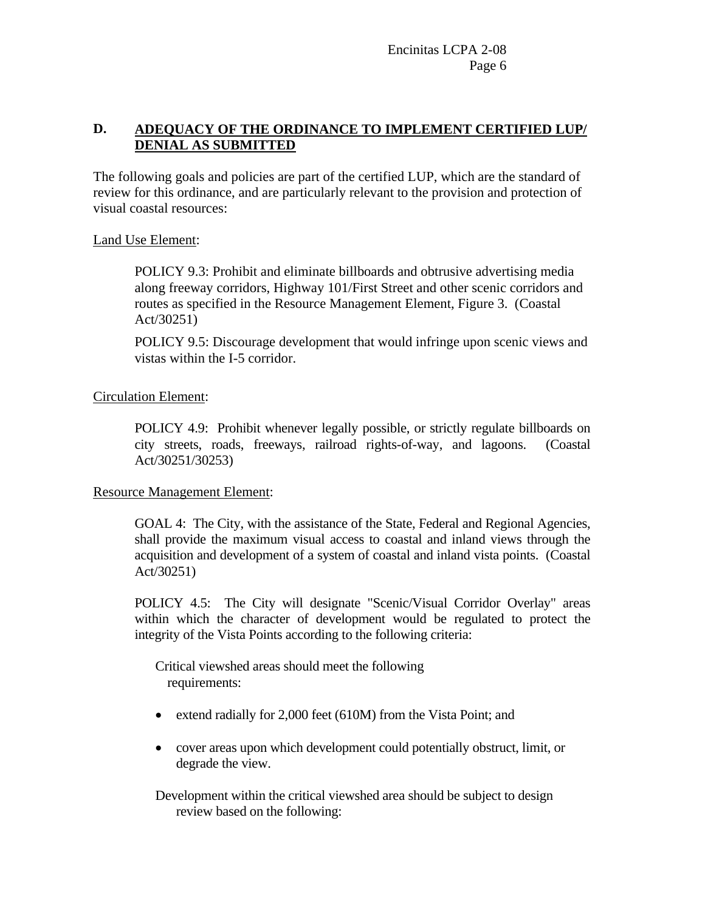# **D. ADEQUACY OF THE ORDINANCE TO IMPLEMENT CERTIFIED LUP/ DENIAL AS SUBMITTED**

The following goals and policies are part of the certified LUP, which are the standard of review for this ordinance, and are particularly relevant to the provision and protection of visual coastal resources:

## Land Use Element:

POLICY 9.3: Prohibit and eliminate billboards and obtrusive advertising media along freeway corridors, Highway 101/First Street and other scenic corridors and routes as specified in the Resource Management Element, Figure 3. (Coastal Act/30251)

POLICY 9.5: Discourage development that would infringe upon scenic views and vistas within the I-5 corridor.

# Circulation Element:

POLICY 4.9: Prohibit whenever legally possible, or strictly regulate billboards on city streets, roads, freeways, railroad rights-of-way, and lagoons. (Coastal Act/30251/30253)

## Resource Management Element:

GOAL 4: The City, with the assistance of the State, Federal and Regional Agencies, shall provide the maximum visual access to coastal and inland views through the acquisition and development of a system of coastal and inland vista points. (Coastal Act/30251)

POLICY 4.5: The City will designate "Scenic/Visual Corridor Overlay" areas within which the character of development would be regulated to protect the integrity of the Vista Points according to the following criteria:

 Critical viewshed areas should meet the following requirements:

- extend radially for 2,000 feet (610M) from the Vista Point; and
- cover areas upon which development could potentially obstruct, limit, or degrade the view.

Development within the critical viewshed area should be subject to design review based on the following: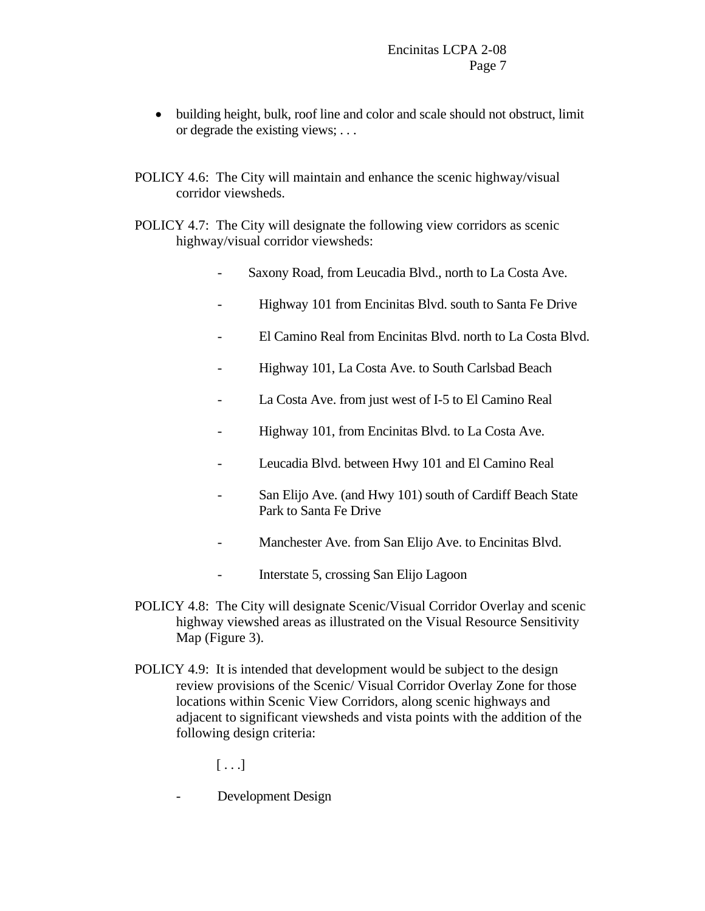- building height, bulk, roof line and color and scale should not obstruct, limit or degrade the existing views; . . .
- POLICY 4.6: The City will maintain and enhance the scenic highway/visual corridor viewsheds.
- POLICY 4.7: The City will designate the following view corridors as scenic highway/visual corridor viewsheds:
	- Saxony Road, from Leucadia Blvd., north to La Costa Ave.
	- Highway 101 from Encinitas Blvd. south to Santa Fe Drive
	- El Camino Real from Encinitas Blvd. north to La Costa Blvd.
	- Highway 101, La Costa Ave. to South Carlsbad Beach
	- La Costa Ave. from just west of I-5 to El Camino Real
	- Highway 101, from Encinitas Blvd. to La Costa Ave.
	- Leucadia Blvd. between Hwy 101 and El Camino Real
	- San Elijo Ave. (and Hwy 101) south of Cardiff Beach State Park to Santa Fe Drive
	- Manchester Ave. from San Elijo Ave. to Encinitas Blvd.
	- Interstate 5, crossing San Elijo Lagoon
- POLICY 4.8: The City will designate Scenic/Visual Corridor Overlay and scenic highway viewshed areas as illustrated on the Visual Resource Sensitivity Map (Figure 3).
- POLICY 4.9: It is intended that development would be subject to the design review provisions of the Scenic/ Visual Corridor Overlay Zone for those locations within Scenic View Corridors, along scenic highways and adjacent to significant viewsheds and vista points with the addition of the following design criteria:

 $[ \ldots]$ 

- Development Design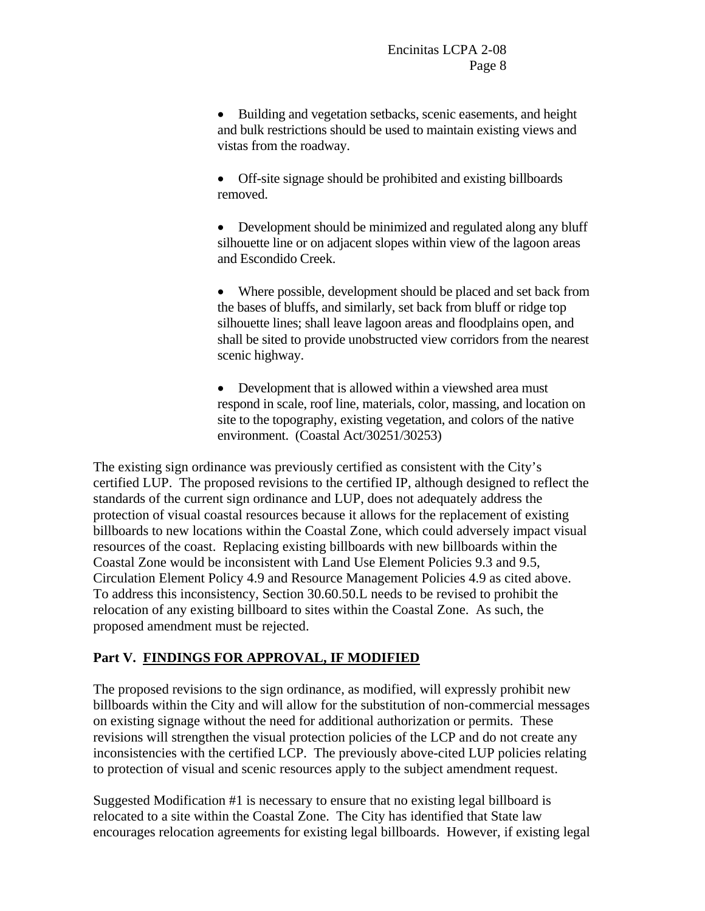• Building and vegetation setbacks, scenic easements, and height and bulk restrictions should be used to maintain existing views and vistas from the roadway.

• Off-site signage should be prohibited and existing billboards removed.

• Development should be minimized and regulated along any bluff silhouette line or on adjacent slopes within view of the lagoon areas and Escondido Creek.

• Where possible, development should be placed and set back from the bases of bluffs, and similarly, set back from bluff or ridge top silhouette lines; shall leave lagoon areas and floodplains open, and shall be sited to provide unobstructed view corridors from the nearest scenic highway.

• Development that is allowed within a viewshed area must respond in scale, roof line, materials, color, massing, and location on site to the topography, existing vegetation, and colors of the native environment. (Coastal Act/30251/30253)

The existing sign ordinance was previously certified as consistent with the City's certified LUP. The proposed revisions to the certified IP, although designed to reflect the standards of the current sign ordinance and LUP, does not adequately address the protection of visual coastal resources because it allows for the replacement of existing billboards to new locations within the Coastal Zone, which could adversely impact visual resources of the coast. Replacing existing billboards with new billboards within the Coastal Zone would be inconsistent with Land Use Element Policies 9.3 and 9.5, Circulation Element Policy 4.9 and Resource Management Policies 4.9 as cited above. To address this inconsistency, Section 30.60.50.L needs to be revised to prohibit the relocation of any existing billboard to sites within the Coastal Zone. As such, the proposed amendment must be rejected.

# **Part V. FINDINGS FOR APPROVAL, IF MODIFIED**

The proposed revisions to the sign ordinance, as modified, will expressly prohibit new billboards within the City and will allow for the substitution of non-commercial messages on existing signage without the need for additional authorization or permits. These revisions will strengthen the visual protection policies of the LCP and do not create any inconsistencies with the certified LCP. The previously above-cited LUP policies relating to protection of visual and scenic resources apply to the subject amendment request.

Suggested Modification #1 is necessary to ensure that no existing legal billboard is relocated to a site within the Coastal Zone. The City has identified that State law encourages relocation agreements for existing legal billboards. However, if existing legal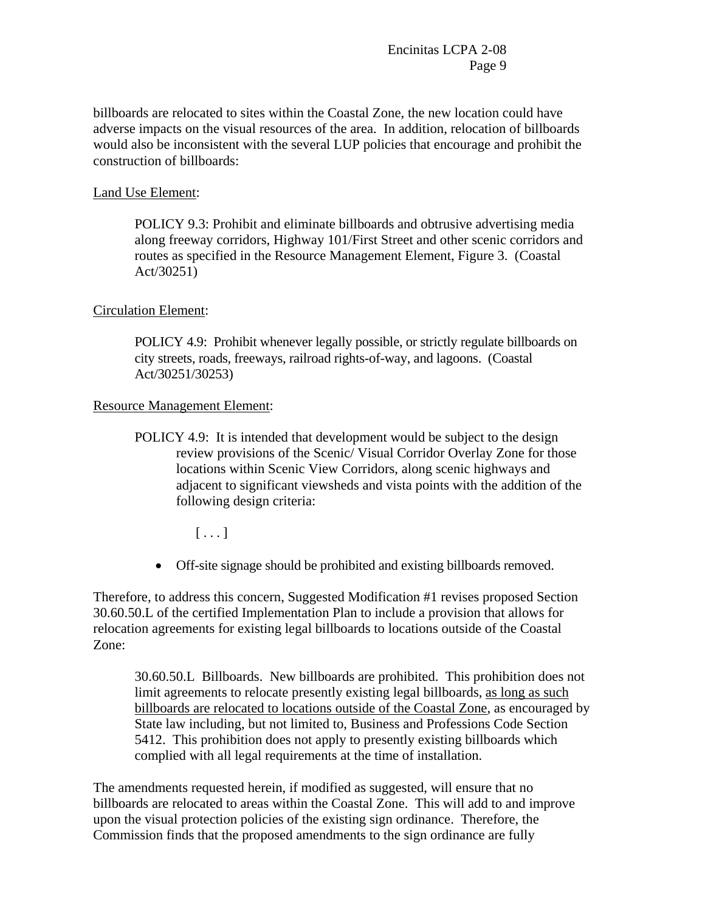billboards are relocated to sites within the Coastal Zone, the new location could have adverse impacts on the visual resources of the area. In addition, relocation of billboards would also be inconsistent with the several LUP policies that encourage and prohibit the construction of billboards:

## Land Use Element:

POLICY 9.3: Prohibit and eliminate billboards and obtrusive advertising media along freeway corridors, Highway 101/First Street and other scenic corridors and routes as specified in the Resource Management Element, Figure 3. (Coastal Act/30251)

## Circulation Element:

POLICY 4.9: Prohibit whenever legally possible, or strictly regulate billboards on city streets, roads, freeways, railroad rights-of-way, and lagoons. (Coastal Act/30251/30253)

### Resource Management Element:

POLICY 4.9: It is intended that development would be subject to the design review provisions of the Scenic/ Visual Corridor Overlay Zone for those locations within Scenic View Corridors, along scenic highways and adjacent to significant viewsheds and vista points with the addition of the following design criteria:

 $[\ldots]$ 

• Off-site signage should be prohibited and existing billboards removed.

Therefore, to address this concern, Suggested Modification #1 revises proposed Section 30.60.50.L of the certified Implementation Plan to include a provision that allows for relocation agreements for existing legal billboards to locations outside of the Coastal Zone:

30.60.50.L Billboards. New billboards are prohibited. This prohibition does not limit agreements to relocate presently existing legal billboards, as long as such billboards are relocated to locations outside of the Coastal Zone, as encouraged by State law including, but not limited to, Business and Professions Code Section 5412. This prohibition does not apply to presently existing billboards which complied with all legal requirements at the time of installation.

The amendments requested herein, if modified as suggested, will ensure that no billboards are relocated to areas within the Coastal Zone. This will add to and improve upon the visual protection policies of the existing sign ordinance. Therefore, the Commission finds that the proposed amendments to the sign ordinance are fully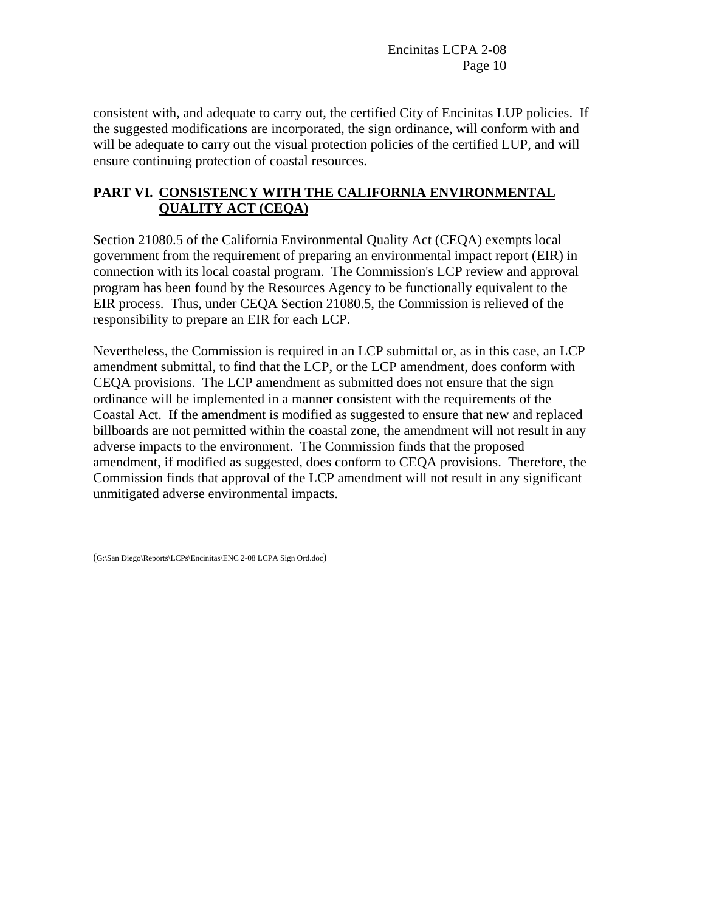consistent with, and adequate to carry out, the certified City of Encinitas LUP policies. If the suggested modifications are incorporated, the sign ordinance, will conform with and will be adequate to carry out the visual protection policies of the certified LUP, and will ensure continuing protection of coastal resources.

# **PART VI. CONSISTENCY WITH THE CALIFORNIA ENVIRONMENTAL QUALITY ACT (CEQA)**

Section 21080.5 of the California Environmental Quality Act (CEQA) exempts local government from the requirement of preparing an environmental impact report (EIR) in connection with its local coastal program. The Commission's LCP review and approval program has been found by the Resources Agency to be functionally equivalent to the EIR process. Thus, under CEQA Section 21080.5, the Commission is relieved of the responsibility to prepare an EIR for each LCP.

Nevertheless, the Commission is required in an LCP submittal or, as in this case, an LCP amendment submittal, to find that the LCP, or the LCP amendment, does conform with CEQA provisions. The LCP amendment as submitted does not ensure that the sign ordinance will be implemented in a manner consistent with the requirements of the Coastal Act. If the amendment is modified as suggested to ensure that new and replaced billboards are not permitted within the coastal zone, the amendment will not result in any adverse impacts to the environment. The Commission finds that the proposed amendment, if modified as suggested, does conform to CEQA provisions. Therefore, the Commission finds that approval of the LCP amendment will not result in any significant unmitigated adverse environmental impacts.

(G:\San Diego\Reports\LCPs\Encinitas\ENC 2-08 LCPA Sign Ord.doc)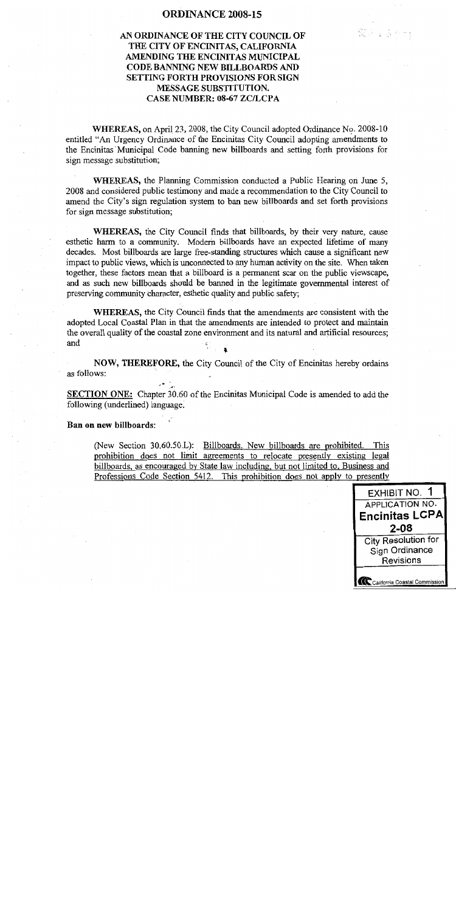### **ORDINANCE 2008-15**

# AN ORDINANCE OF THE CITY COUNCIL OF THE CITY OF ENCINITAS, CALIFORNIA AMENDING THE ENCINITAS MUNICIPAL CODE BANNING NEW BILLBOARDS AND **SETTING FORTH PROVISIONS FOR SIGN MESSAGE SUBSTITUTION. CASE NUMBER: 08-67 ZC/LCPA**

WHEREAS, on April 23, 2008, the City Council adopted Ordinance No. 2008-10 entitled "An Urgency Ordinance of the Encinitas City Council adopting amendments to the Encinitas Municipal Code banning new billboards and setting forth provisions for sign message substitution;

WHEREAS, the Planning Commission conducted a Public Hearing on June 5, 2008 and considered public testimony and made a recommendation to the City Council to amend the City's sign regulation system to ban new billboards and set forth provisions for sign message substitution;

WHEREAS, the City Council finds that billboards, by their very nature, cause esthetic harm to a community. Modern billboards have an expected lifetime of many decades. Most billboards are large free-standing structures which cause a significant new impact to public views, which is unconnected to any human activity on the site. When taken together, these factors mean that a billboard is a permanent scar on the public viewscape, and as such new billboards should be banned in the legitimate governmental interest of preserving community character, esthetic quality and public safety;

**WHEREAS**, the City Council finds that the amendments are consistent with the adopted Local Coastal Plan in that the amendments are intended to protect and maintain the overall quality of the coastal zone environment and its natural and artificial resources; and

NOW, THEREFORE, the City Council of the City of Encinitas hereby ordains as follows:

SECTION ONE: Chapter 30.60 of the Encinitas Municipal Code is amended to add the following (underlined) language.

Ban on new billboards:

(New Section 30.60.50.L): Billboards. New billboards are prohibited. This prohibition does not limit agreements to relocate presently existing legal billboards, as encouraged by State law including, but not limited to, Business and Professions Code Section 5412. This prohibition does not apply to presently



SDA 3 dime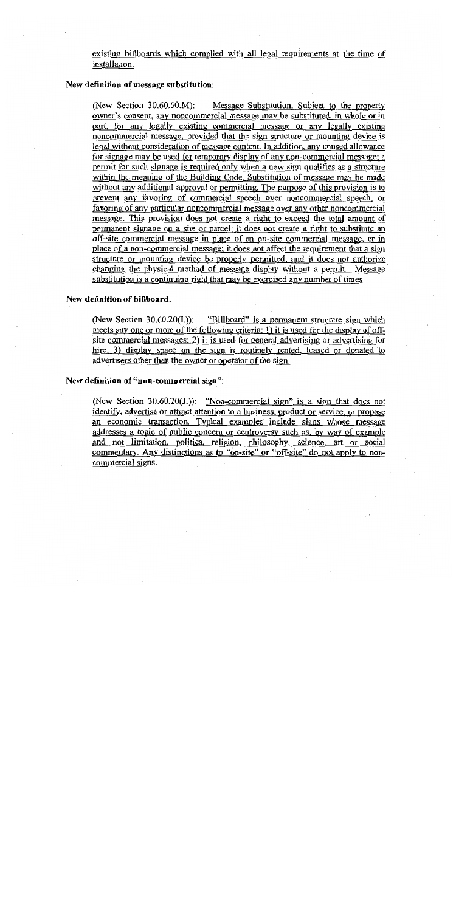existing billboards which complied with all legal requirements at the time of installation.

#### New definition of message substitution:

(New Section 30.60.50.M): Message Substitution. Subject to the property owner's consent, any noncommercial message may be substituted, in whole or in part, for any legally existing commercial message or any legally existing noncommercial message, provided that the sign structure or mounting device is legal without consideration of message content. In addition, any unused allowance for signage may be used for temporary display of any non-commercial message; a permit for such signage is required only when a new sign qualifies as a structure within the meaning of the Building Code. Substitution of message may be made without any additional approval or permitting. The purpose of this provision is to prevent any favoring of commercial speech over noncommercial speech, or favoring of any particular noncommercial message over any other noncommercial message. This provision does not create a right to exceed the total amount of permanent signage on a site or parcel; it does not create a right to substitute an off-site commercial message in place of an on-site commercial message, or in place of a non-commercial message; it does not affect the requirement that a sign structure or mounting device be properly permitted; and it does not authorize changing the physical method of message display without a permit. Message substitution is a continuing right that may be exercised any number of times

#### New definition of billboard:

(New Section 30.60.20(I.)): "Billboard" is a permanent structure sign which meets any one or more of the following criteria: 1) it is used for the display of offsite commercial messages; 2) it is used for general advertising or advertising for hire; 3) display space on the sign is routinely rented, leased or donated to advertisers other than the owner or operator of the sign.

#### New definition of "non-commercial sign":

(New Section 30.60.20(J.)): "Non-commercial sign" is a sign that does not identify, advertise or attract attention to a business, product or service, or propose an economic transaction. Typical examples include signs whose message addresses a topic of public concern or controversy such as, by way of example and not limitation, politics, religion, philosophy, science, art or social commentary. Any distinctions as to "on-site" or "off-site" do not apply to noncommercial signs.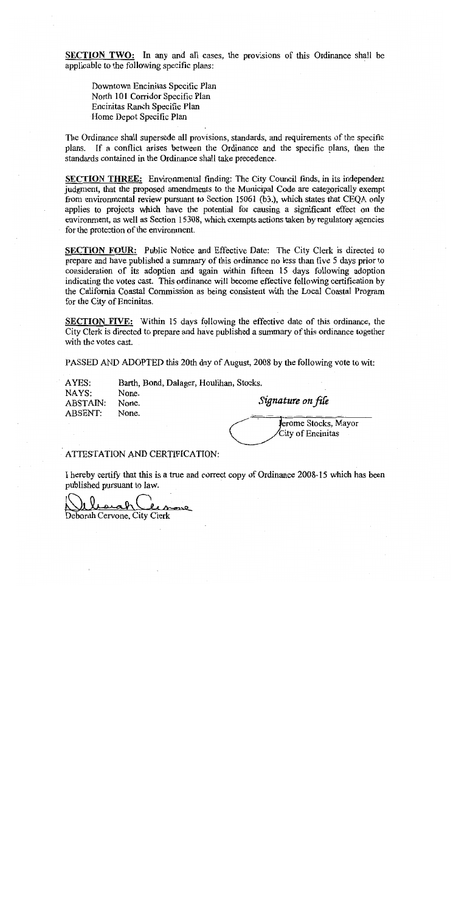SECTION TWO: In any and all cases, the provisions of this Ordinance shall be applicable to the following specific plans:

Downtown Encinitas Specific Plan North 101 Corridor Specific Plan Encinitas Ranch Specific Plan Home Depot Specific Plan

The Ordinance shall supersede all provisions, standards, and requirements of the specific plans. If a conflict arises between the Ordinance and the specific plans, then the standards contained in the Ordinance shall take precedence.

SECTION THREE: Environmental finding: The City Council finds, in its independent judgment, that the proposed amendments to the Municipal Code are categorically exempt from environmental review pursuant to Section 15061 (b3.), which states that CEQA only applies to projects which have the potential for causing a significant effect on the environment, as well as Section 15308, which exempts actions taken by regulatory agencies for the protection of the environment.

SECTION FOUR: Public Notice and Effective Date: The City Clerk is directed to prepare and have published a summary of this ordinance no less than five 5 days prior to consideration of its adoption and again within fifteen 15 days following adoption indicating the votes cast. This ordinance will become effective following certification by the California Coastal Commission as being consistent with the Local Coastal Program for the City of Encinitas.

SECTION FIVE: Within 15 days following the effective date of this ordinance, the City Clerk is directed to prepare and have published a summary of this ordinance together with the votes cast.

PASSED AND ADOPTED this 20th day of August, 2008 by the following vote to wit:

AYES: Barth, Bond, Dalager, Houlihan, Stocks. NAYS: None. None. **ABSTAIN: ABSENT:** None.

Signature on file

Jerome Stocks, Mayor City of Encinitas

#### ATTESTATION AND CERTIFICATION:

I hereby certify that this is a true and correct copy of Ordinance 2008-15 which has been published pursuant to law.

none

Deborah Cervone, City Clerk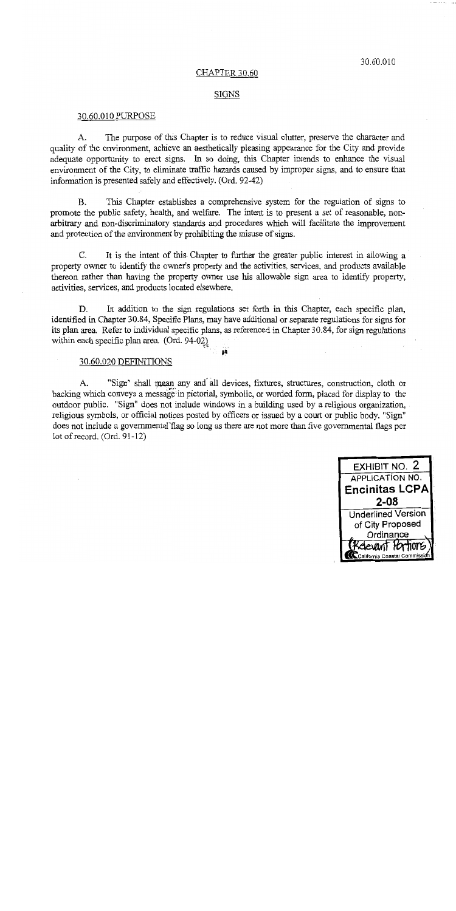#### CHAPTER 30.60

#### SIGNS

#### 30.60.010 PURPOSE

The purpose of this Chapter is to reduce visual clutter, preserve the character and  $A_{1}$ quality of the environment, achieve an aesthetically pleasing appearance for the City and provide adequate opportunity to erect signs. In so doing, this Chapter intends to enhance the visual environment of the City, to eliminate traffic hazards caused by improper signs, and to ensure that information is presented safely and effectively. (Ord. 92-42)

 $B.$ This Chapter establishes a comprehensive system for the regulation of signs to promote the public safety, health, and welfare. The intent is to present a set of reasonable, nonarbitrary and non-discriminatory standards and procedures which will facilitate the improvement and protection of the environment by prohibiting the misuse of signs.

C. It is the intent of this Chapter to further the greater public interest in allowing a property owner to identify the owner's property and the activities, services, and products available thereon rather than having the property owner use his allowable sign area to identify property. activities, services, and products located elsewhere.

In addition to the sign regulations set forth in this Chapter, each specific plan, D. identified in Chapter 30.84, Specific Plans, may have additional or separate regulations for signs for its plan area. Refer to individual specific plans, as referenced in Chapter 30.84, for sign regulations within each specific plan area. (Ord. 94-02)

## 30.60.020 DEFINITIONS

"Sign" shall mean any and all devices, fixtures, structures, construction, cloth or  $A_{-}$ backing which conveys a message in pictorial, symbolic, or worded form, placed for display to the outdoor public. "Sign" does not include windows in a building used by a religious organization, religious symbols, or official notices posted by officers or issued by a court or public body. "Sign" does not include a governmental flag so long as there are not more than five governmental flags per lot of record.  $(Ord. 91-12)$ 

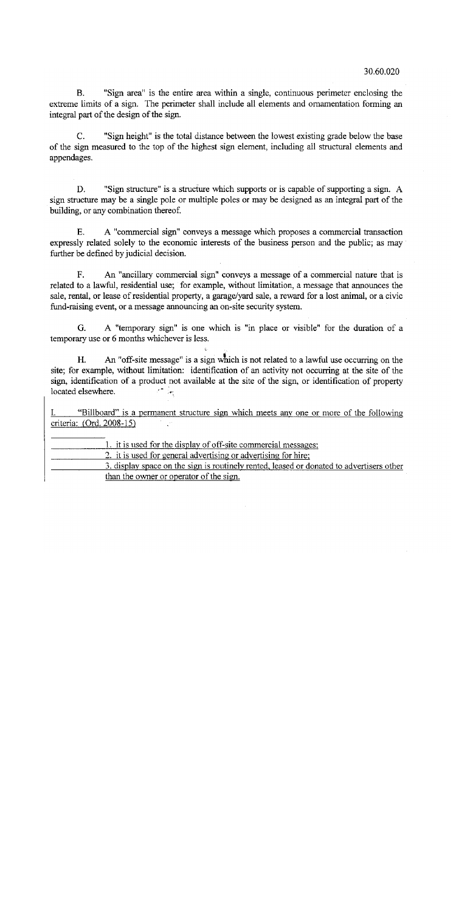"Sign area" is the entire area within a single, continuous perimeter enclosing the  $\mathbf{B}$ . extreme limits of a sign. The perimeter shall include all elements and ornamentation forming an integral part of the design of the sign.

"Sign height" is the total distance between the lowest existing grade below the base  $\mathcal{C}$ . of the sign measured to the top of the highest sign element, including all structural elements and appendages.

"Sign structure" is a structure which supports or is capable of supporting a sign. A D. sign structure may be a single pole or multiple poles or may be designed as an integral part of the building, or any combination thereof.

E. A "commercial sign" conveys a message which proposes a commercial transaction expressly related solely to the economic interests of the business person and the public; as may further be defined by judicial decision.

 $F.$ An "ancillary commercial sign" conveys a message of a commercial nature that is related to a lawful, residential use; for example, without limitation, a message that announces the sale, rental, or lease of residential property, a garage/yard sale, a reward for a lost animal, or a civic fund-raising event, or a message announcing an on-site security system.

A "temporary sign" is one which is "in place or visible" for the duration of a G. temporary use or 6 months whichever is less.

An "off-site message" is a sign which is not related to a lawful use occurring on the H. site; for example, without limitation: identification of an activity not occurring at the site of the sign, identification of a product not available at the site of the sign, or identification of property located elsewhere.  $\mathcal{L}^{\text{max}}_{\text{max}}$ 

"Billboard" is a permanent structure sign which meets any one or more of the following L. criteria: (Ord. 2008-15)  $\frac{1}{2} \frac{1}{2} \frac{d^2}{dt^2}$ 

1. it is used for the display of off-site commercial messages; 2. it is used for general advertising or advertising for hire; 3. display space on the sign is routinely rented, leased or donated to advertisers other than the owner or operator of the sign.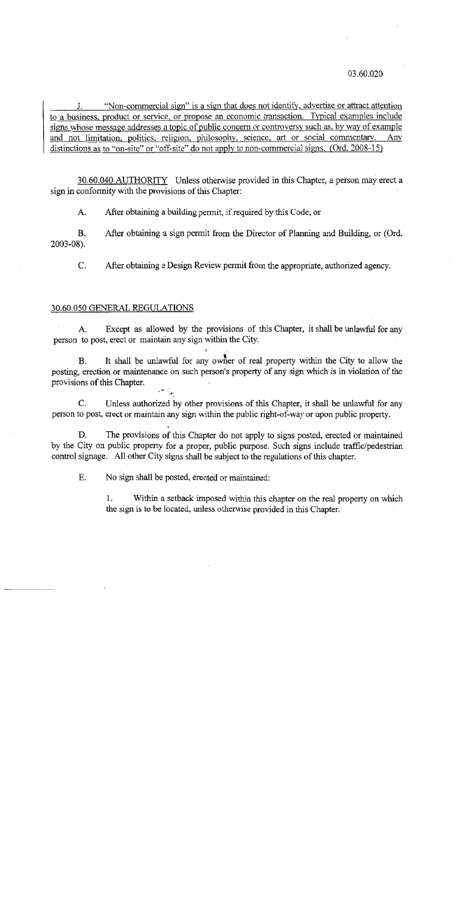#### 03.60.020

"Non-commercial sign" is a sign that does not identify, advertise or attract attention to a business, product or service, or propose an economic transaction. Typical examples include signs whose message addresses a topic of public concern or controversy such as, by way of example and not limitation, politics, religion, philosophy, science, art or social commentary. Any distinctions as to "on-site" or "off-site" do not apply to non-commercial signs. (Ord. 2008-15)

30.60.040 AUTHORITY Unless otherwise provided in this Chapter, a person may erect a sign in conformity with the provisions of this Chapter:

After obtaining a building permit, if required by this Code, or  $A<sub>1</sub>$ 

Β. After obtaining a sign permit from the Director of Planning and Building, or (Ord.  $2003 - 08$ ).

After obtaining a Design Review permit from the appropriate, authorized agency. C.

#### 30.60.050 GENERAL REGULATIONS

Except as allowed by the provisions of this Chapter, it shall be unlawful for any  $A<sub>1</sub>$ person to post, erect or maintain any sign within the City.

It shall be unlawful for any owner of real property within the City to allow the **B.** posting, erection or maintenance on such person's property of any sign which is in violation of the provisions of this Chapter.

Unless authorized by other provisions of this Chapter, it shall be unlawful for any C. person to post, erect or maintain any sign within the public right-of-way or upon public property.

The provisions of this Chapter do not apply to signs posted, erected or maintained D. by the City on public property for a proper, public purpose. Such signs include traffic/pedestrian control signage. All other City signs shall be subject to the regulations of this chapter.

E. No sign shall be posted, erected or maintained:

> Within a setback imposed within this chapter on the real property on which  $\mathbf{1}$ . the sign is to be located, unless otherwise provided in this Chapter.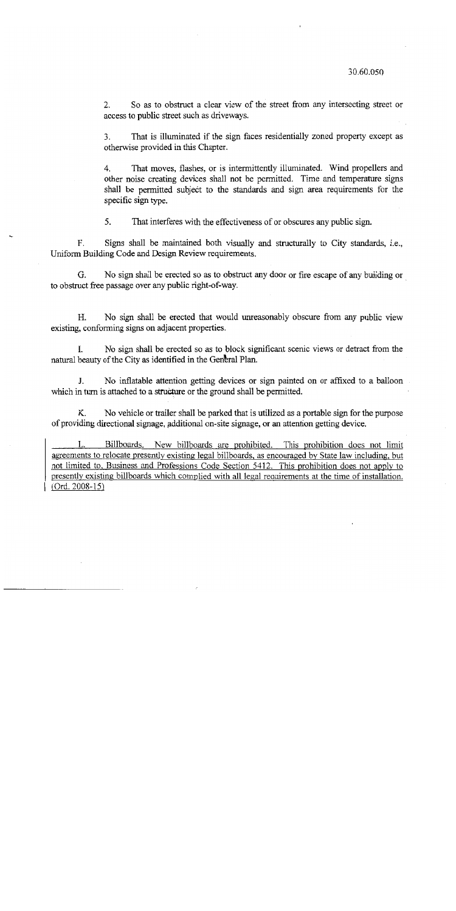So as to obstruct a clear view of the street from any intersecting street or  $2.$ access to public street such as driveways.

That is illuminated if the sign faces residentially zoned property except as  $3<sub>1</sub>$ otherwise provided in this Chapter.

4. That moves, flashes, or is intermittently illuminated. Wind propellers and other noise creating devices shall not be permitted. Time and temperature signs shall be permitted subject to the standards and sign area requirements for the specific sign type.

5. That interferes with the effectiveness of or obscures any public sign.

F. Signs shall be maintained both visually and structurally to City standards, i.e., Uniform Building Code and Design Review requirements.

G. No sign shall be erected so as to obstruct any door or fire escape of any building or to obstruct free passage over any public right-of-way.

No sign shall be erected that would unreasonably obscure from any public view Н. existing, conforming signs on adjacent properties.

No sign shall be erected so as to block significant scenic views or detract from the L. natural beauty of the City as identified in the General Plan.

J. No inflatable attention getting devices or sign painted on or affixed to a balloon which in turn is attached to a structure or the ground shall be permitted.

No vehicle or trailer shall be parked that is utilized as a portable sign for the purpose Κ. of providing directional signage, additional on-site signage, or an attention getting device.

Billboards. New billboards are prohibited. This prohibition does not limit agreements to relocate presently existing legal billboards, as encouraged by State law including, but not limited to, Business and Professions Code Section 5412. This prohibition does not apply to presently existing billboards which complied with all legal requirements at the time of installation.  $(Ord. 2008-15)$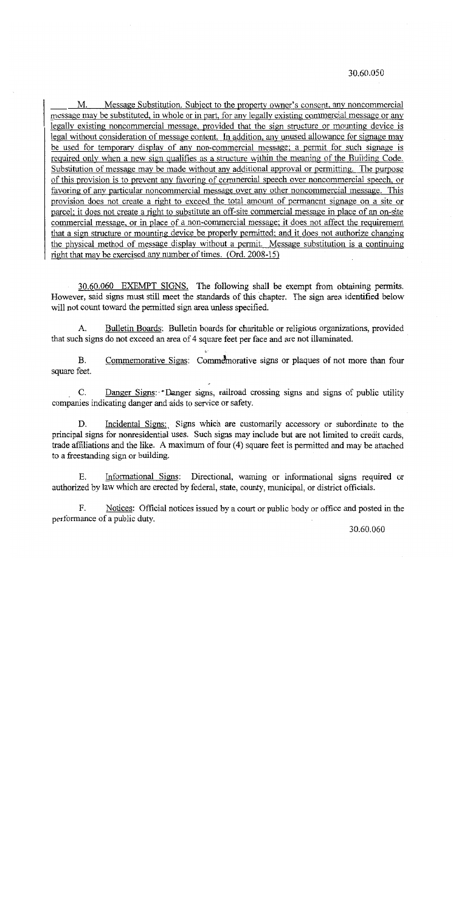#### 30.60.050

Message Substitution. Subject to the property owner's consent, any noncommercial M. message may be substituted, in whole or in part, for any legally existing commercial message or any legally existing noncommercial message, provided that the sign structure or mounting device is legal without consideration of message content. In addition, any unused allowance for signage may be used for temporary display of any non-commercial message; a permit for such signage is required only when a new sign qualifies as a structure within the meaning of the Building Code. Substitution of message may be made without any additional approval or permitting. The purpose of this provision is to prevent any favoring of commercial speech over noncommercial speech, or favoring of any particular noncommercial message over any other noncommercial message. This provision does not create a right to exceed the total amount of permanent signage on a site or parcel; it does not create a right to substitute an off-site commercial message in place of an on-site commercial message, or in place of a non-commercial message; it does not affect the requirement that a sign structure or mounting device be properly permitted; and it does not authorize changing the physical method of message display without a permit. Message substitution is a continuing right that may be exercised any number of times. (Ord. 2008-15)

30.60.060 EXEMPT SIGNS. The following shall be exempt from obtaining permits. However, said signs must still meet the standards of this chapter. The sign area identified below will not count toward the permitted sign area unless specified.

Bulletin Boards: Bulletin boards for charitable or religious organizations, provided A. that such signs do not exceed an area of 4 square feet per face and are not illuminated.

Commemorative Signs: Commemorative signs or plaques of not more than four **B.** square feet.

Danger Signs: Danger signs, railroad crossing signs and signs of public utility  $C_{\cdot}$ companies indicating danger and aids to service or safety.

Incidental Signs: Signs which are customarily accessory or subordinate to the D. principal signs for nonresidential uses. Such signs may include but are not limited to credit cards, trade affiliations and the like. A maximum of four (4) square feet is permitted and may be attached to a freestanding sign or building.

Informational Signs: Directional, warning or informational signs required or Ε. authorized by law which are erected by federal, state, county, municipal, or district officials.

F. Notices: Official notices issued by a court or public body or office and posted in the performance of a public duty.

30.60.060